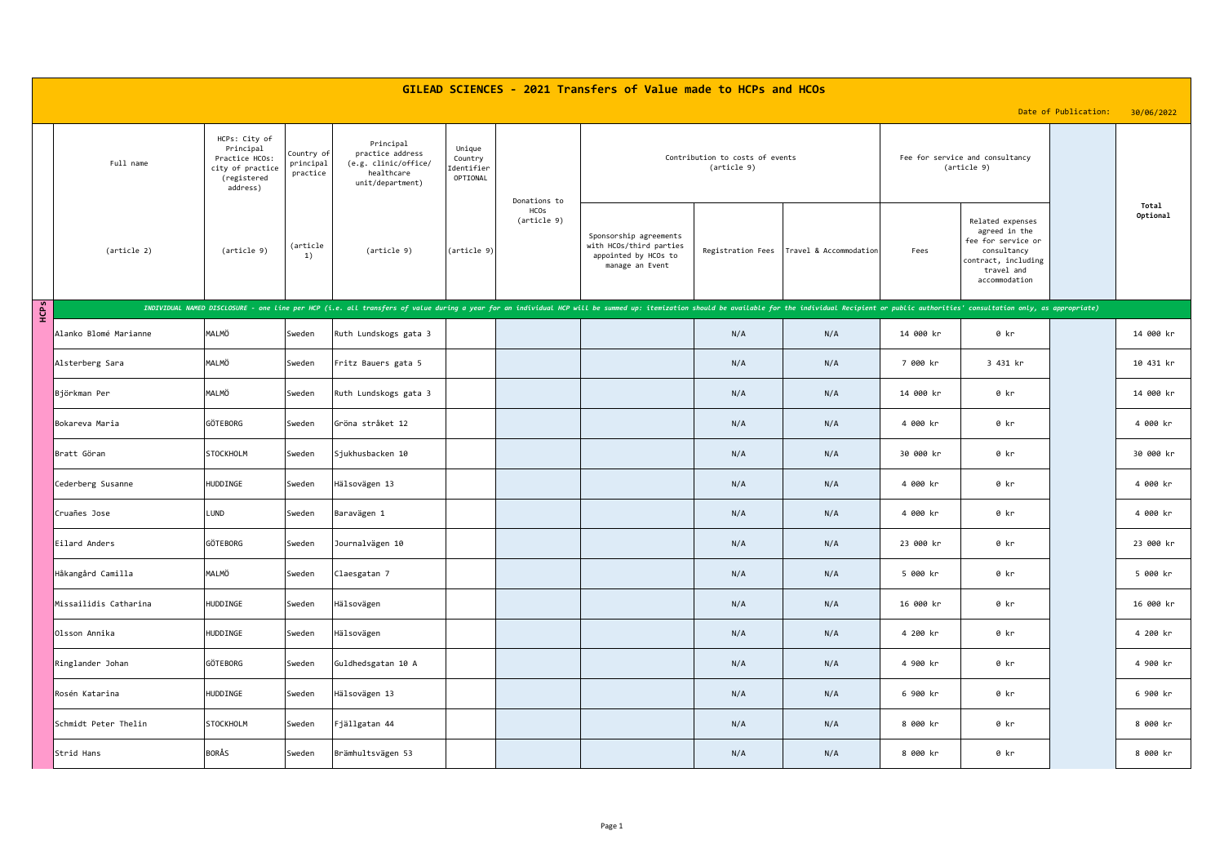| GILEAD SCIENCES - 2021 Transfers of Value made to HCPs and HCOs |                       |                                                                                             |                                     |                                                                                         |                                             |                     |                                                                                                                                                                                                                                       |                   |                        |           |                                                                                                                              |                      |                   |
|-----------------------------------------------------------------|-----------------------|---------------------------------------------------------------------------------------------|-------------------------------------|-----------------------------------------------------------------------------------------|---------------------------------------------|---------------------|---------------------------------------------------------------------------------------------------------------------------------------------------------------------------------------------------------------------------------------|-------------------|------------------------|-----------|------------------------------------------------------------------------------------------------------------------------------|----------------------|-------------------|
|                                                                 |                       |                                                                                             |                                     |                                                                                         |                                             |                     |                                                                                                                                                                                                                                       |                   |                        |           |                                                                                                                              | Date of Publication: | 30/06/2022        |
|                                                                 | Full name             | HCPs: City of<br>Principal<br>Practice HCOs:<br>city of practice<br>(registered<br>address) | Country of<br>principal<br>practice | Principal<br>practice address<br>(e.g. clinic/office/<br>healthcare<br>unit/department) | Unique<br>Country<br>Identifier<br>OPTIONAL | Donations to        | Contribution to costs of events<br>(article 9)                                                                                                                                                                                        |                   |                        |           | Fee for service and consultancy<br>(article 9)                                                                               |                      |                   |
|                                                                 | (article 2)           | (article 9)                                                                                 | (article<br>1)                      | (article 9)                                                                             | (article 9)                                 | HCOs<br>(article 9) | Sponsorship agreements<br>with HCOs/third parties<br>appointed by HCOs to<br>manage an Event                                                                                                                                          | Registration Fees | Travel & Accommodation | Fees      | Related expenses<br>agreed in the<br>fee for service or<br>consultancy<br>contract, including<br>travel and<br>accommodation |                      | Total<br>Optional |
| НCPS                                                            |                       |                                                                                             |                                     |                                                                                         |                                             |                     | INDIVIDUAL NAMED DISCLOSURE - one line per HCP (i.e. all transfers of value during a year for an individual HCP will be summed up: itemization should be available for the individual Recip <u>ient or public authorities' consul</u> |                   |                        |           |                                                                                                                              |                      |                   |
|                                                                 | Alanko Blomé Marianne | MALMÖ                                                                                       | Sweden                              | Ruth Lundskogs gata 3                                                                   |                                             |                     |                                                                                                                                                                                                                                       | N/A               | N/A                    | 14 000 kr | 0 kr                                                                                                                         |                      | 14 000 kr         |
|                                                                 | Alsterberg Sara       | MALMÖ                                                                                       | Sweden                              | Fritz Bauers gata 5                                                                     |                                             |                     |                                                                                                                                                                                                                                       | N/A               | N/A                    | 7 000 kr  | 3 431 kr                                                                                                                     |                      | 10 431 kr         |
|                                                                 | Björkman Per          | MALMÖ                                                                                       | Sweden                              | Ruth Lundskogs gata 3                                                                   |                                             |                     |                                                                                                                                                                                                                                       | N/A               | N/A                    | 14 000 kr | 0 kr                                                                                                                         |                      | 14 000 kr         |
|                                                                 | Bokareva Maria        | GÖTEBORG                                                                                    | Sweden                              | Gröna stråket 12                                                                        |                                             |                     |                                                                                                                                                                                                                                       | N/A               | N/A                    | 4 000 kr  | 0 kr                                                                                                                         |                      | 4 000 kr          |
|                                                                 | Bratt Göran           | <b>STOCKHOLM</b>                                                                            | Sweden                              | Sjukhusbacken 10                                                                        |                                             |                     |                                                                                                                                                                                                                                       | N/A               | N/A                    | 30 000 kr | 0 kr                                                                                                                         |                      | 30 000 kr         |
|                                                                 | Cederberg Susanne     | HUDDINGE                                                                                    | Sweden                              | Hälsovägen 13                                                                           |                                             |                     |                                                                                                                                                                                                                                       | N/A               | N/A                    | 4 000 kr  | 0 kr                                                                                                                         |                      | 4 000 kr          |
|                                                                 | Cruañes Jose          | LUND                                                                                        | Sweden                              | Baravägen 1                                                                             |                                             |                     |                                                                                                                                                                                                                                       | N/A               | N/A                    | 4 000 kr  | 0 kr                                                                                                                         |                      | 4 000 kr          |
|                                                                 | Eilard Anders         | GÖTEBORG                                                                                    | Sweden                              | Journalvägen 10                                                                         |                                             |                     |                                                                                                                                                                                                                                       | N/A               | N/A                    | 23 000 kr | 0 kr                                                                                                                         |                      | 23 000 kr         |
|                                                                 | Håkangård Camilla     | MALMÖ                                                                                       | Sweden                              | Claesgatan 7                                                                            |                                             |                     |                                                                                                                                                                                                                                       | N/A               | N/A                    | 5 000 kr  | 0 kr                                                                                                                         |                      | 5 000 kr          |
|                                                                 | Missailidis Catharina | HUDDINGE                                                                                    | Sweden                              | Hälsovägen                                                                              |                                             |                     |                                                                                                                                                                                                                                       | N/A               | N/A                    | 16 000 kr | 0 kr                                                                                                                         |                      | 16 000 kr         |
|                                                                 | Olsson Annika         | HUDDINGE                                                                                    | Sweden                              | Hälsovägen                                                                              |                                             |                     |                                                                                                                                                                                                                                       | N/A               | N/A                    | 4 200 kr  | 0 kr                                                                                                                         |                      | 4 200 kr          |
|                                                                 | Ringlander Johan      | GÖTEBORG                                                                                    | Sweden                              | Guldhedsgatan 10 A                                                                      |                                             |                     |                                                                                                                                                                                                                                       | N/A               | N/A                    | 4 900 kr  | 0 kr                                                                                                                         |                      | 4 900 kr          |
|                                                                 | Rosén Katarina        | HUDDINGE                                                                                    | Sweden                              | Hälsovägen 13                                                                           |                                             |                     |                                                                                                                                                                                                                                       | N/A               | N/A                    | 6 900 kr  | 0 kr                                                                                                                         |                      | 6 900 kr          |
|                                                                 | Schmidt Peter Thelin  | <b>STOCKHOLM</b>                                                                            | Sweden                              | Fjällgatan 44                                                                           |                                             |                     |                                                                                                                                                                                                                                       | N/A               | N/A                    | 8 000 kr  | 0 kr                                                                                                                         |                      | 8 000 kr          |
|                                                                 | Strid Hans            | BORÅS                                                                                       | Sweden                              | Brämhultsvägen 53                                                                       |                                             |                     |                                                                                                                                                                                                                                       | N/A               | N/A                    | 8 000 kr  | 0 kr                                                                                                                         |                      | 8 000 kr          |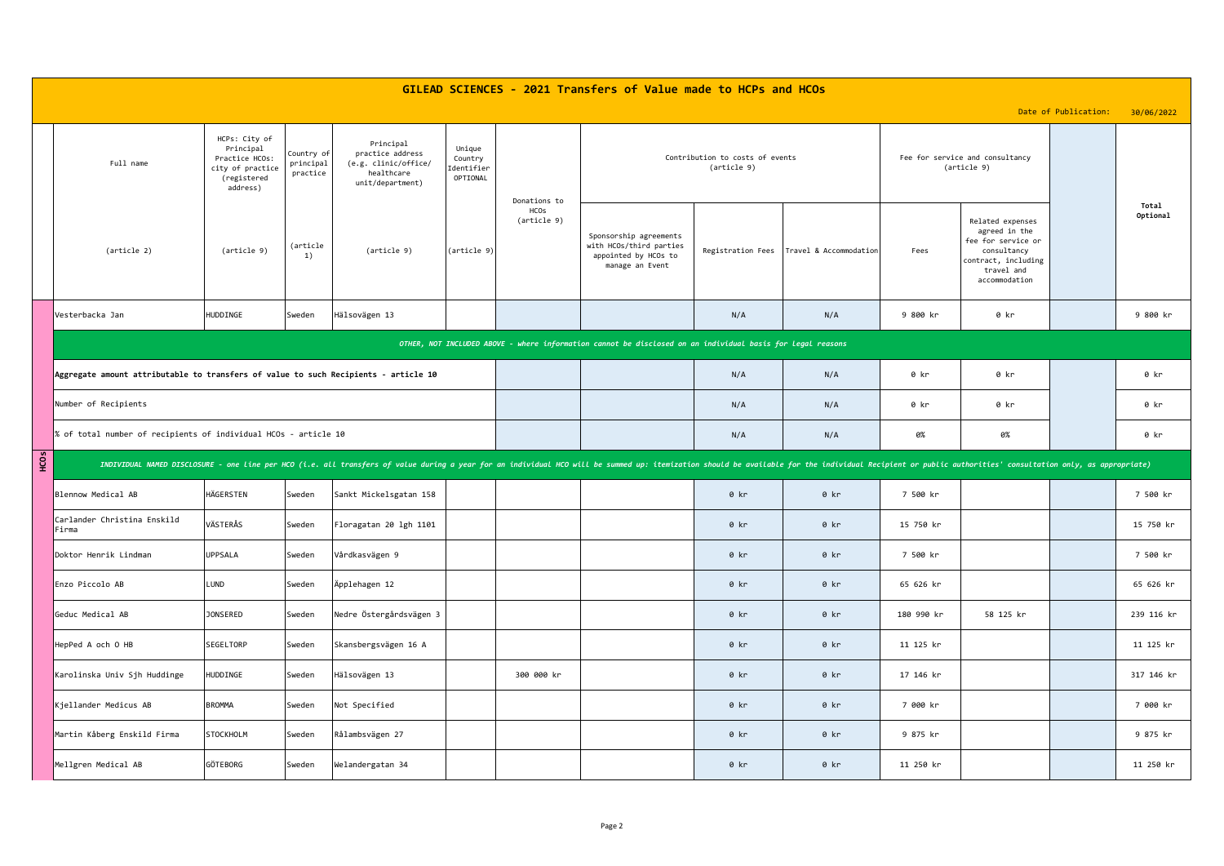|      | GILEAD SCIENCES - 2021 Transfers of Value made to HCPs and HCOs                                                                                                                                                                |                                                                                             |                                     |                                                                                         |                                             |                                            |                                                                                              |                                                |                                            |            |                                                                                                                              |                      |                   |
|------|--------------------------------------------------------------------------------------------------------------------------------------------------------------------------------------------------------------------------------|---------------------------------------------------------------------------------------------|-------------------------------------|-----------------------------------------------------------------------------------------|---------------------------------------------|--------------------------------------------|----------------------------------------------------------------------------------------------|------------------------------------------------|--------------------------------------------|------------|------------------------------------------------------------------------------------------------------------------------------|----------------------|-------------------|
|      |                                                                                                                                                                                                                                |                                                                                             |                                     |                                                                                         |                                             |                                            |                                                                                              |                                                |                                            |            |                                                                                                                              | Date of Publication: | 30/06/2022        |
|      | Full name                                                                                                                                                                                                                      | HCPs: City of<br>Principal<br>Practice HCOs:<br>city of practice<br>(registered<br>address) | Country of<br>principal<br>practice | Principal<br>practice address<br>(e.g. clinic/office/<br>healthcare<br>unit/department) | Unique<br>Country<br>Identifier<br>OPTIONAL | Donations to<br><b>HCOs</b><br>(article 9) |                                                                                              | Contribution to costs of events<br>(article 9) |                                            |            | Fee for service and consultancy<br>(article 9)                                                                               |                      |                   |
|      | (article 2)                                                                                                                                                                                                                    | (article 9)                                                                                 | (article<br>1)                      | (article 9)                                                                             | (article 9)                                 |                                            | Sponsorship agreements<br>with HCOs/third parties<br>appointed by HCOs to<br>manage an Event |                                                | Registration Fees   Travel & Accommodation | Fees       | Related expenses<br>agreed in the<br>fee for service or<br>consultancy<br>contract, including<br>travel and<br>accommodation |                      | Total<br>Optional |
|      | Vesterbacka Jan                                                                                                                                                                                                                | HUDDINGE                                                                                    | Sweden                              | Hälsovägen 13                                                                           |                                             |                                            |                                                                                              | N/A                                            | N/A                                        | 9 800 kr   | 0 kr                                                                                                                         |                      | 9 800 kr          |
|      | OTHER, NOT INCLUDED ABOVE - where information cannot be disclosed on an individual basis for legal reasons                                                                                                                     |                                                                                             |                                     |                                                                                         |                                             |                                            |                                                                                              |                                                |                                            |            |                                                                                                                              |                      |                   |
|      | Aggregate amount attributable to transfers of value to such Recipients - article 10                                                                                                                                            |                                                                                             |                                     |                                                                                         |                                             |                                            |                                                                                              | N/A                                            | N/A                                        | 0 kr       | 0 kr                                                                                                                         |                      | 0 kr              |
|      | Number of Recipients                                                                                                                                                                                                           |                                                                                             |                                     |                                                                                         |                                             |                                            |                                                                                              | N/A                                            | N/A                                        | 0 kr       | 0 kr                                                                                                                         |                      | 0 kr              |
|      | % of total number of recipients of individual HCOs - article 10                                                                                                                                                                |                                                                                             |                                     |                                                                                         |                                             |                                            |                                                                                              | N/A                                            | N/A                                        | 0%         | 0%                                                                                                                           |                      | 0 kr              |
| HCOS | INDIVIDUAL NAMED DISCLOSURE - one Line per HCO (i.e. all transfers of value during a year for an individual HCO will be summed up: itemization should be available for the individual Recipient or public authorities' consult |                                                                                             |                                     |                                                                                         |                                             |                                            |                                                                                              |                                                |                                            |            |                                                                                                                              |                      |                   |
|      | Blennow Medical AB                                                                                                                                                                                                             | HÄGERSTEN                                                                                   | Sweden                              | Sankt Mickelsgatan 158                                                                  |                                             |                                            |                                                                                              | 0 kr                                           | 0 kr                                       | 7 500 kr   |                                                                                                                              |                      | 7 500 kr          |
|      | Carlander Christina Enskild<br>Firma                                                                                                                                                                                           | VÄSTERÅS                                                                                    | Sweden                              | Floragatan 20 lgh 1101                                                                  |                                             |                                            |                                                                                              | 0 kr                                           | 0 kr                                       | 15 750 kr  |                                                                                                                              |                      | 15 750 kr         |
|      | Doktor Henrik Lindman                                                                                                                                                                                                          | UPPSALA                                                                                     | Sweden                              | Vårdkasvägen 9                                                                          |                                             |                                            |                                                                                              | $0$ kr                                         | $0$ kr                                     | 7 500 kr   |                                                                                                                              |                      | 7 500 kr          |
|      | Enzo Piccolo AB                                                                                                                                                                                                                | LUND                                                                                        | Sweden                              | Äpplehagen 12                                                                           |                                             |                                            |                                                                                              | 0 kr                                           | 0 kr                                       | 65 626 kr  |                                                                                                                              |                      | 65 626 kr         |
|      | Geduc Medical AB                                                                                                                                                                                                               | <b>JONSERED</b>                                                                             | Sweden                              | Nedre Östergårdsvägen 3                                                                 |                                             |                                            |                                                                                              | 0 kr                                           | 0 kr                                       | 180 990 kr | 58 125 kr                                                                                                                    |                      | 239 116 kr        |
|      | HepPed A och 0 HB                                                                                                                                                                                                              | SEGELTORP                                                                                   | Sweden                              | Skansbergsvägen 16 A                                                                    |                                             |                                            |                                                                                              | 0 kr                                           | 0 kr                                       | 11 125 kr  |                                                                                                                              |                      | 11 125 kr         |
|      | Karolinska Univ Sjh Huddinge                                                                                                                                                                                                   | HUDDINGE                                                                                    | Sweden                              | Hälsovägen 13                                                                           |                                             | 300 000 kr                                 |                                                                                              | $0$ kr                                         | $0$ kr                                     | 17 146 kr  |                                                                                                                              |                      | 317 146 kr        |
|      | Kjellander Medicus AB                                                                                                                                                                                                          | <b>BROMMA</b>                                                                               | Sweden                              | Not Specified                                                                           |                                             |                                            |                                                                                              | 0 kr                                           | 0 kr                                       | 7 000 kr   |                                                                                                                              |                      | 7 000 kr          |
|      | Martin Kåberg Enskild Firma                                                                                                                                                                                                    | STOCKHOLM                                                                                   | Sweden                              | Rålambsvägen 27                                                                         |                                             |                                            |                                                                                              | 0 kr                                           | 0 kr                                       | 9 875 kr   |                                                                                                                              |                      | 9 875 kr          |
|      | Mellgren Medical AB                                                                                                                                                                                                            | GÖTEBORG                                                                                    | Sweden                              | Welandergatan 34                                                                        |                                             |                                            |                                                                                              | 0 kr                                           | 0 kr                                       | 11 250 kr  |                                                                                                                              |                      | 11 250 kr         |